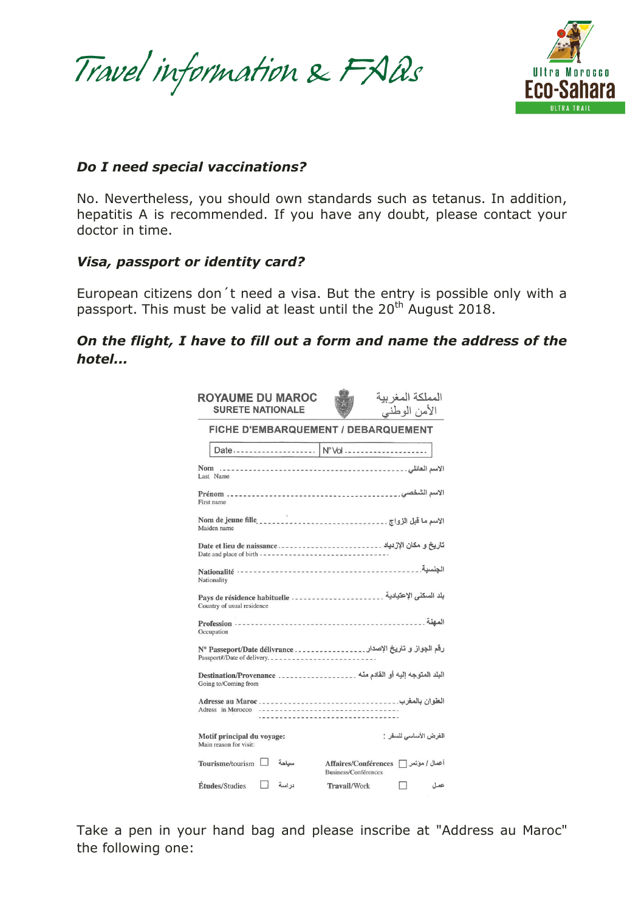Travel information & FAQs



#### *Do I need special vaccinations?*

No. Nevertheless, you should own standards such as tetanus. In addition, hepatitis A is recommended. If you have any doubt, please contact your doctor in time.

#### *Visa, passport or identity card?*

European citizens don´t need a visa. But the entry is possible only with a passport. This must be valid at least until the 20<sup>th</sup> August 2018.

## *On the flight, I have to fill out a form and name the address of the hotel...*

| <b>ROYAUME DU MAROC</b><br><b>SURETE NATIONALE</b>   | المملكة المغر ببة<br>الأمن الوطنبي                                          |
|------------------------------------------------------|-----------------------------------------------------------------------------|
|                                                      | FICHE D'EMBARQUEMENT / DEBARQUEMENT                                         |
|                                                      | Date   N° Vol                                                               |
| Last Name                                            |                                                                             |
| First name                                           |                                                                             |
| Maiden name                                          |                                                                             |
| Date and place of birth ---------------------------- | تاريخ و مكان الإزدياد . _ _ _ _ _ _ _ _ _ _ _ _ _ Date et lieu de naissance |
| Nationality                                          |                                                                             |
| Country of usual residence                           | بلد السكنى الإعتيادية . ______________________ Pays de résidence habituelle |
| Occupation                                           |                                                                             |
|                                                      | رقم الجواز و تاريخ الإصدار . _______________ N° Passeport/Date délivrance   |
| Going to/Coming from                                 | البلد المتوجه إليه أو القادم منه  Destination/Provenance                    |
|                                                      |                                                                             |
| Motif principal du voyage:<br>Main reason for visit: | الغرض الأساسي للسفر :                                                       |
| Tourisme/tourism<br>سناجة                            | أعمال / موتمر ∏ Affaires/Conférences<br>Business/Conférences                |
| Études/Studies<br>در اسة                             | Travail/Work<br>عمل                                                         |

Take a pen in your hand bag and please inscribe at "Address au Maroc" the following one: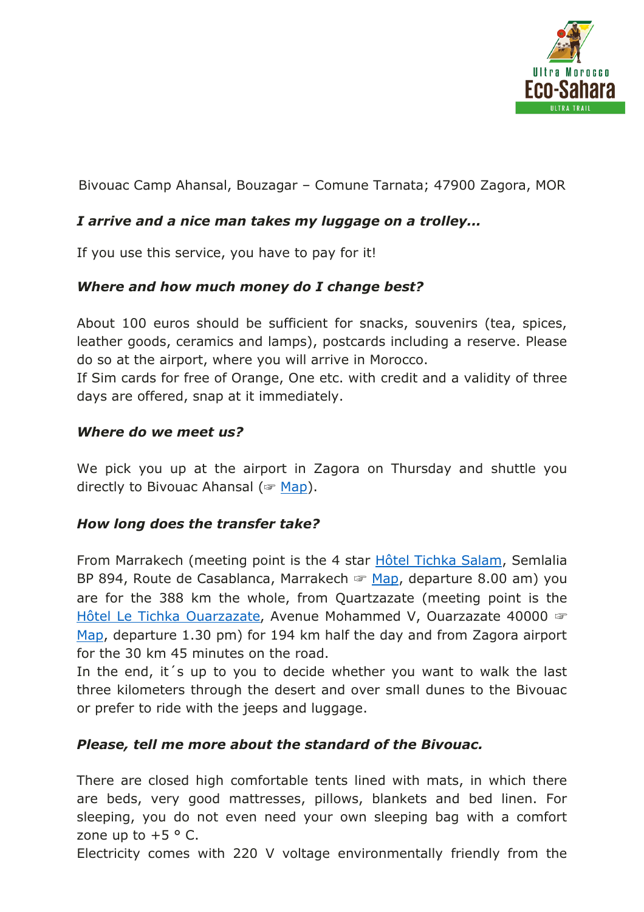

Bivouac Camp Ahansal, Bouzagar – Comune Tarnata; 47900 Zagora, MOR

### *I arrive and a nice man takes my luggage on a trolley...*

If you use this service, you have to pay for it!

### *Where and how much money do I change best?*

About 100 euros should be sufficient for snacks, souvenirs (tea, spices, leather goods, ceramics and lamps), postcards including a reserve. Please do so at the airport, where you will arrive in Morocco.

If Sim cards for free of Orange, One etc. with credit and a validity of three days are offered, snap at it immediately.

#### *Where do we meet us?*

We pick you up at the airport in Zagora on Thursday and shuttle you directly to Bivouac Ahansal (☞ [Map\)](https://www.google.de/maps/place/Bivouac+Ahansal+Zagora/@30.2261429,-6.3606109,10z/data=!4m12!1m6!3m5!1s0xdbc36ea5f522357:0x8da6ae0c52ef2678!2sBIVOUAC+AHANSAL+ZAGORA!8m2!3d30.3458998!4d-5.8406586!3m4!1s0x0:0x66cf067558a86769!8m2!3d30.2166518!4d-6.).

### *How long does the transfer take?*

From Marrakech (meeting point is the 4 star [Hôtel Tichka Salam,](http://www.hotel-marrakech-tichka.com/) Semlalia BP 894, Route de Casablanca, Marrakech ☞ [Map,](https://www.google.de/maps/place/H%C3%B4tel+Tichka+Salam/@31.6263141,-8.0287729,14z/data=!4m5!3m4!1s0x0:0x1ee047019034adb4!8m2!3d31.6468118!4d-8.018087) departure 8.00 am) you are for the 388 km the whole, from Quartzazate (meeting point is the [Hôtel Le Tichka Ouarzazate](http://www.letichkaouarzazate.com/le-tichka-ouarzazate-ouarzazate-ou-sommes-nous), Avenue Mohammed V, Ouarzazate 40000 ☞ [Map,](https://www.google.de/maps/place/Le+Tichka+Ouarzazate/@30.9260967,-6.9150245,15z/data=!4m8!1m2!2m1!1sOuarzazate+Le+Riad+%26+Tichka+Salam!3m4!1s0x0:0xc53112cc70de763e!8m2!3d30.9185786!4d-6.9035245) departure 1.30 pm) for 194 km half the day and from Zagora airport for the 30 km 45 minutes on the road.

In the end, it's up to you to decide whether you want to walk the last three kilometers through the desert and over small dunes to the Bivouac or prefer to ride with the jeeps and luggage.

### *Please, tell me more about the standard of the Bivouac.*

There are closed high comfortable tents lined with mats, in which there are beds, very good mattresses, pillows, blankets and bed linen. For sleeping, you do not even need your own sleeping bag with a comfort zone up to  $+5$  ° C.

Electricity comes with 220 V voltage environmentally friendly from the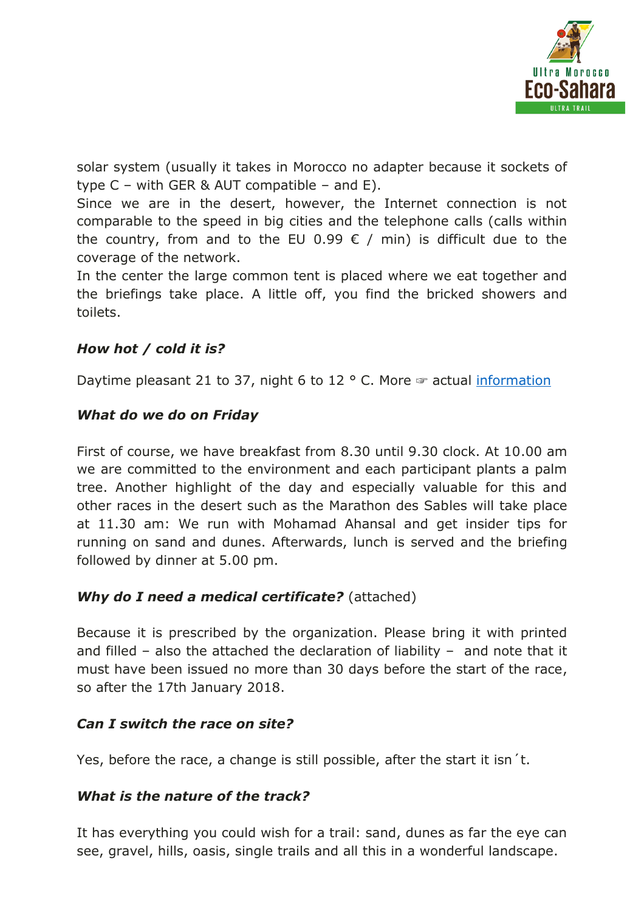

solar system (usually it takes in Morocco no adapter because it sockets of type  $C$  – with GER & AUT compatible – and E).

Since we are in the desert, however, the Internet connection is not comparable to the speed in big cities and the telephone calls (calls within the country, from and to the EU 0.99  $\epsilon$  / min) is difficult due to the coverage of the network.

In the center the large common tent is placed where we eat together and the briefings take place. A little off, you find the bricked showers and toilets.

# *How hot / cold it is?*

Daytime pleasant 21 to 37, night 6 to 12  $\degree$  C. More  $\degree$  actual [information](https://www.meteoblue.com/de/wetter/vorhersage/woche/zagora_marokko_2526452)

### *What do we do on Friday*

First of course, we have breakfast from 8.30 until 9.30 clock. At 10.00 am we are committed to the environment and each participant plants a palm tree. Another highlight of the day and especially valuable for this and other races in the desert such as the Marathon des Sables will take place at 11.30 am: We run with Mohamad Ahansal and get insider tips for running on sand and dunes. Afterwards, lunch is served and the briefing followed by dinner at 5.00 pm.

### *Why do I need a medical certificate?* (attached)

Because it is prescribed by the organization. Please bring it with printed and filled – also the attached the declaration of liability – and note that it must have been issued no more than 30 days before the start of the race, so after the 17th January 2018.

### *Can I switch the race on site?*

Yes, before the race, a change is still possible, after the start it isn´t.

### *What is the nature of the track?*

It has everything you could wish for a trail: sand, dunes as far the eye can see, gravel, hills, oasis, single trails and all this in a wonderful landscape.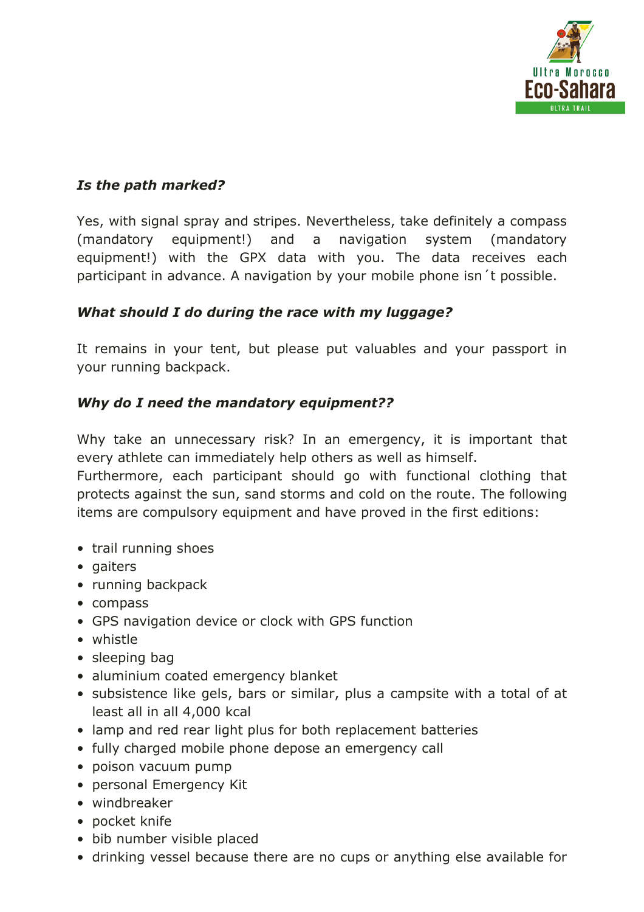

## *Is the path marked?*

Yes, with signal spray and stripes. Nevertheless, take definitely a compass (mandatory equipment!) and a navigation system (mandatory equipment!) with the GPX data with you. The data receives each participant in advance. A navigation by your mobile phone isn´t possible.

## *What should I do during the race with my luggage?*

It remains in your tent, but please put valuables and your passport in your running backpack.

## *Why do I need the mandatory equipment??*

Why take an unnecessary risk? In an emergency, it is important that every athlete can immediately help others as well as himself.

Furthermore, each participant should go with functional clothing that protects against the sun, sand storms and cold on the route. The following items are compulsory equipment and have proved in the first editions:

- trail running shoes
- gaiters
- running backpack
- compass
- GPS navigation device or clock with GPS function
- whistle
- sleeping bag
- aluminium coated emergency blanket
- subsistence like gels, bars or similar, plus a campsite with a total of at least all in all 4,000 kcal
- lamp and red rear light plus for both replacement batteries
- fully charged mobile phone depose an emergency call
- poison vacuum pump
- personal Emergency Kit
- windbreaker
- pocket knife
- bib number visible placed
- drinking vessel because there are no cups or anything else available for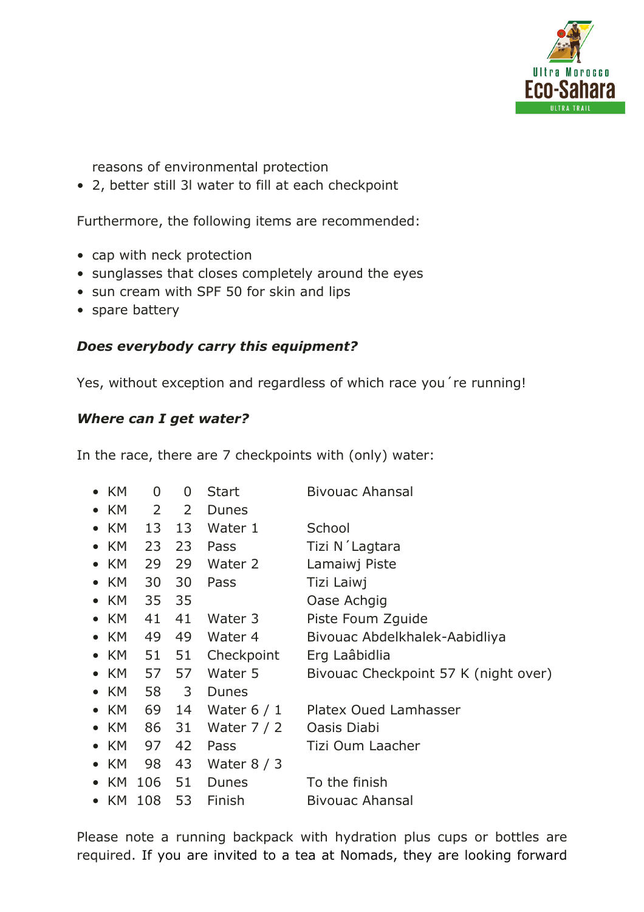

reasons of environmental protection

• 2, better still 3l water to fill at each checkpoint

Furthermore, the following items are recommended:

- cap with neck protection
- sunglasses that closes completely around the eyes
- sun cream with SPF 50 for skin and lips
- spare battery

# *Does everybody carry this equipment?*

Yes, without exception and regardless of which race you're running!

# *Where can I get water?*

In the race, there are 7 checkpoints with (only) water:

| $\bullet$ KM | 0           | 0  | Start        | <b>Bivouac Ahansal</b>               |
|--------------|-------------|----|--------------|--------------------------------------|
| $\bullet$ KM | $2^{\circ}$ | 2  | <b>Dunes</b> |                                      |
| $\bullet$ KM | 13          | 13 | Water 1      | School                               |
| $\bullet$ KM | 23          | 23 | Pass         | Tizi N'Lagtara                       |
| $\bullet$ KM | 29          | 29 | Water 2      | Lamaiwj Piste                        |
| $\bullet$ KM | 30          | 30 | Pass         | Tizi Laiwj                           |
| $\bullet$ KM | 35          | 35 |              | Oase Achgig                          |
| $\bullet$ KM | 41          | 41 | Water 3      | Piste Foum Zquide                    |
| $\bullet$ KM | 49          | 49 | Water 4      | Bivouac Abdelkhalek-Aabidliya        |
| $\bullet$ KM | 51          | 51 | Checkpoint   | Erg Laâbidlia                        |
| $\bullet$ KM | 57          | 57 | Water 5      | Bivouac Checkpoint 57 K (night over) |
| $\bullet$ KM | 58          | 3  | Dunes        |                                      |
| $\bullet$ KM | 69          | 14 | Water $6/1$  | Platex Oued Lamhasser                |
| $\bullet$ KM | 86          | 31 | Water $7/2$  | Oasis Diabi                          |
| $\bullet$ KM | 97          | 42 | Pass         | Tizi Oum Laacher                     |
| $\bullet$ KM | 98          | 43 | Water $8/3$  |                                      |
| $\bullet$ KM | 106         | 51 | Dunes        | To the finish                        |
| $\bullet$ KM | 108         | 53 | Finish       | <b>Bivouac Ahansal</b>               |

Please note a running backpack with hydration plus cups or bottles are required. If you are invited to a tea at Nomads, they are looking forward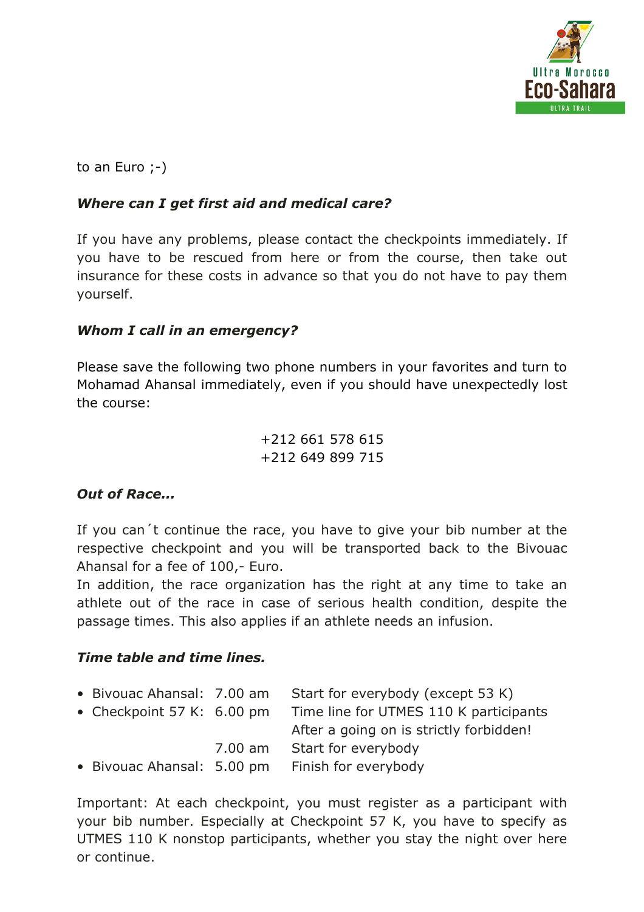

to an Euro ;-)

### *Where can I get first aid and medical care?*

If you have any problems, please contact the checkpoints immediately. If you have to be rescued from here or from the course, then take out insurance for these costs in advance so that you do not have to pay them yourself.

### *Whom I call in an emergency?*

Please save the following two phone numbers in your favorites and turn to Mohamad Ahansal immediately, even if you should have unexpectedly lost the course:

> +212 661 578 615 +212 649 899 715

# *Out of Race...*

If you can´t continue the race, you have to give your bib number at the respective checkpoint and you will be transported back to the Bivouac Ahansal for a fee of 100,- Euro.

In addition, the race organization has the right at any time to take an athlete out of the race in case of serious health condition, despite the passage times. This also applies if an athlete needs an infusion.

### *Time table and time lines.*

| • Bivouac Ahansal: 7.00 am           |         | Start for everybody (except 53 K)       |
|--------------------------------------|---------|-----------------------------------------|
| • Checkpoint 57 K: $6.00 \text{ pm}$ |         | Time line for UTMES 110 K participants  |
|                                      |         | After a going on is strictly forbidden! |
|                                      | 7.00 am | Start for everybody                     |
| • Bivouac Ahansal: 5.00 pm           |         | Finish for everybody                    |

Important: At each checkpoint, you must register as a participant with your bib number. Especially at Checkpoint 57 K, you have to specify as UTMES 110 K nonstop participants, whether you stay the night over here or continue.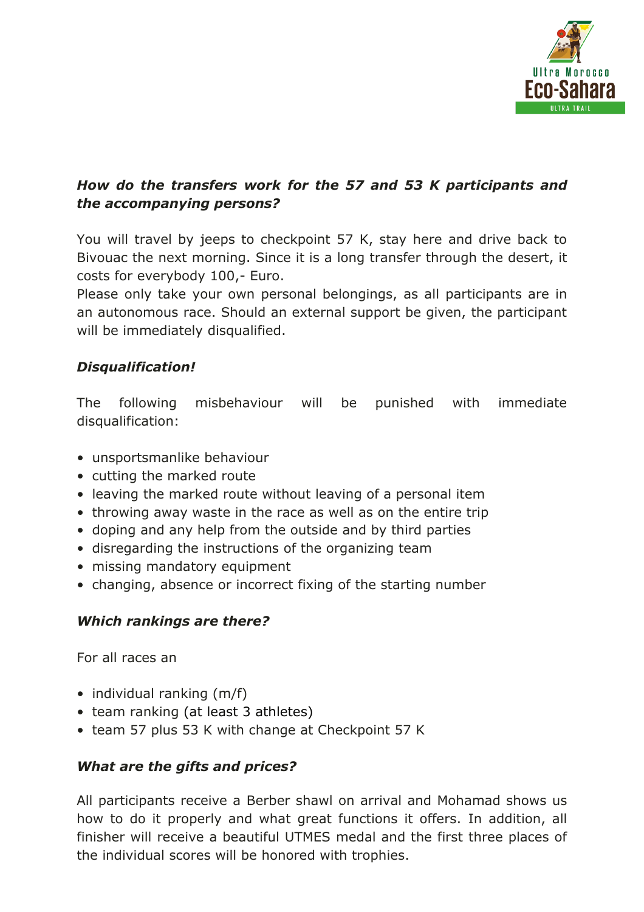

# *How do the transfers work for the 57 and 53 K participants and the accompanying persons?*

You will travel by jeeps to checkpoint 57 K, stay here and drive back to Bivouac the next morning. Since it is a long transfer through the desert, it costs for everybody 100,- Euro.

Please only take your own personal belongings, as all participants are in an autonomous race. Should an external support be given, the participant will be immediately disqualified.

## *Disqualification!*

The following misbehaviour will be punished with immediate disqualification:

- unsportsmanlike behaviour
- cutting the marked route
- leaving the marked route without leaving of a personal item
- throwing away waste in the race as well as on the entire trip
- doping and any help from the outside and by third parties
- disregarding the instructions of the organizing team
- missing mandatory equipment
- changing, absence or incorrect fixing of the starting number

# *Which rankings are there?*

For all races an

- individual ranking (m/f)
- team ranking (at least 3 athletes)
- team 57 plus 53 K with change at Checkpoint 57 K

# *What are the gifts and prices?*

All participants receive a Berber shawl on arrival and Mohamad shows us how to do it properly and what great functions it offers. In addition, all finisher will receive a beautiful UTMES medal and the first three places of the individual scores will be honored with trophies.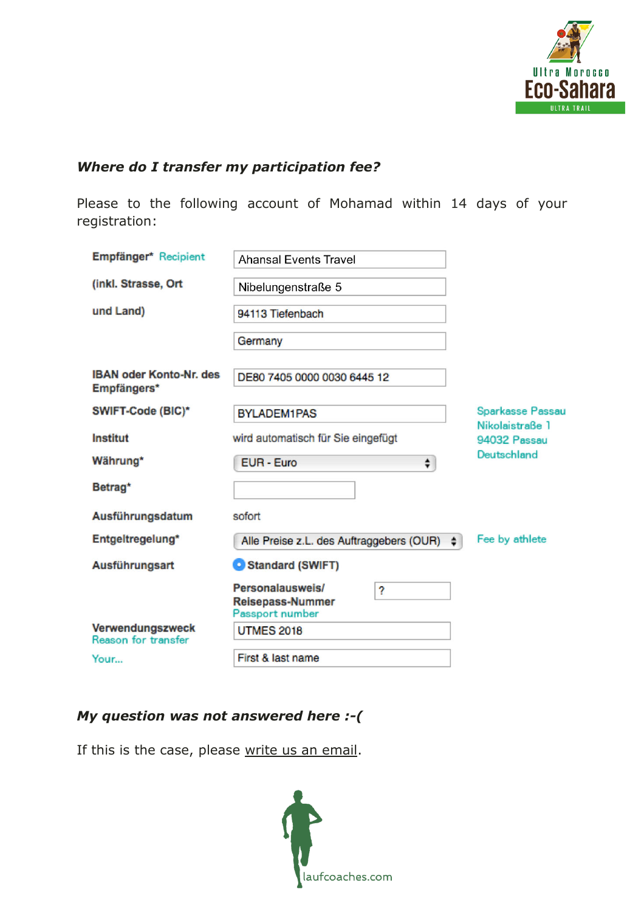

# *Where do I transfer my participation fee?*

Please to the following account of Mohamad within 14 days of your registration:

| Empfänger* Recipient                          | <b>Ahansal Events Travel</b>                                        |                                     |
|-----------------------------------------------|---------------------------------------------------------------------|-------------------------------------|
| (inkl. Strasse, Ort                           | Nibelungenstraße 5                                                  |                                     |
| und Land)                                     | 94113 Tiefenbach                                                    |                                     |
|                                               | Germany                                                             |                                     |
| <b>IBAN oder Konto-Nr. des</b><br>Empfängers* | DE80 7405 0000 0030 6445 12                                         |                                     |
| SWIFT-Code (BIC)*                             | <b>BYLADEM1PAS</b>                                                  | Sparkasse Passau<br>Nikolaistraße 1 |
| Institut                                      | wird automatisch für Sie eingefügt                                  | 94032 Passau                        |
| Währung*                                      | EUR - Euro<br>÷                                                     | Deutschland                         |
| Betrag*                                       |                                                                     |                                     |
| Ausführungsdatum                              | sofort                                                              |                                     |
| Entgeltregelung*                              | Alle Preise z.L. des Auftraggebers (OUR)<br>$\cdot$                 | Fee by athlete                      |
| Ausführungsart                                | Standard (SWIFT)                                                    |                                     |
|                                               | Personalausweis/<br>?<br><b>Reisepass-Nummer</b><br>Passport number |                                     |
| Verwendungszweck<br>Reason for transfer       | <b>UTMES 2018</b>                                                   |                                     |
| Your                                          | First & last name                                                   |                                     |

# *My question was not answered here :-(*

If this is the case, please write us an email.

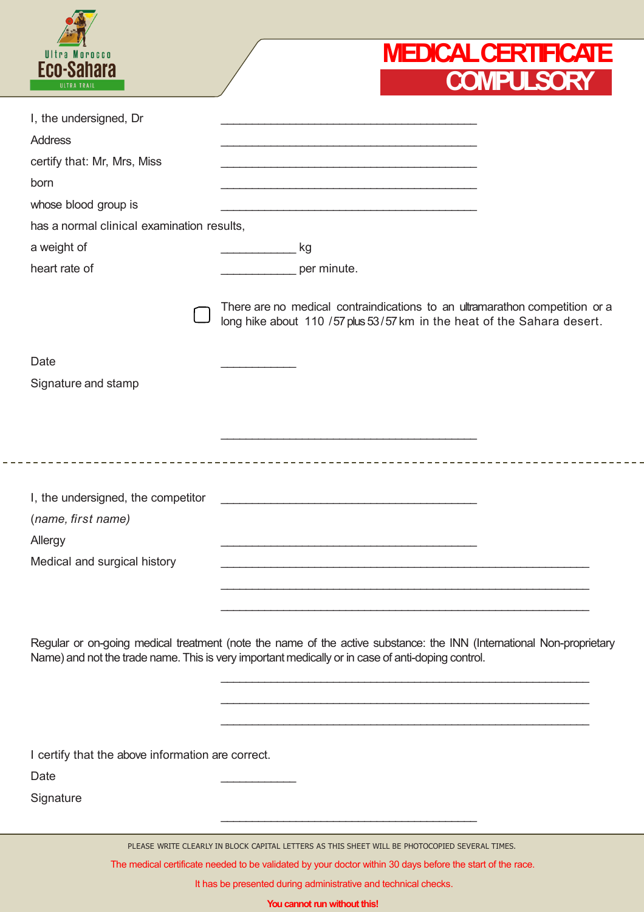| ULTRA TRAIL<br>I, the undersigned, Dr<br><b>Address</b><br>certify that: Mr, Mrs, Miss<br>born<br>whose blood group is<br>has a normal clinical examination results,<br>a weight of | <b>COMPULSORY</b>                                                                                                                                                                                                         |
|-------------------------------------------------------------------------------------------------------------------------------------------------------------------------------------|---------------------------------------------------------------------------------------------------------------------------------------------------------------------------------------------------------------------------|
|                                                                                                                                                                                     |                                                                                                                                                                                                                           |
|                                                                                                                                                                                     |                                                                                                                                                                                                                           |
|                                                                                                                                                                                     |                                                                                                                                                                                                                           |
|                                                                                                                                                                                     |                                                                                                                                                                                                                           |
|                                                                                                                                                                                     |                                                                                                                                                                                                                           |
|                                                                                                                                                                                     |                                                                                                                                                                                                                           |
|                                                                                                                                                                                     |                                                                                                                                                                                                                           |
|                                                                                                                                                                                     | kg                                                                                                                                                                                                                        |
| heart rate of                                                                                                                                                                       | per minute.                                                                                                                                                                                                               |
|                                                                                                                                                                                     | There are no medical contraindications to an ultramarathon competition or a<br>long hike about 110 / 57 plus 53/57 km in the heat of the Sahara desert.                                                                   |
| Date                                                                                                                                                                                |                                                                                                                                                                                                                           |
| Signature and stamp                                                                                                                                                                 |                                                                                                                                                                                                                           |
|                                                                                                                                                                                     |                                                                                                                                                                                                                           |
|                                                                                                                                                                                     |                                                                                                                                                                                                                           |
| I, the undersigned, the competitor                                                                                                                                                  |                                                                                                                                                                                                                           |
| (name, first name)                                                                                                                                                                  |                                                                                                                                                                                                                           |
| Allergy                                                                                                                                                                             |                                                                                                                                                                                                                           |
| Medical and surgical history                                                                                                                                                        |                                                                                                                                                                                                                           |
|                                                                                                                                                                                     |                                                                                                                                                                                                                           |
|                                                                                                                                                                                     |                                                                                                                                                                                                                           |
|                                                                                                                                                                                     | Regular or on-going medical treatment (note the name of the active substance: the INN (International Non-proprietary<br>Name) and not the trade name. This is very important medically or in case of anti-doping control. |
|                                                                                                                                                                                     |                                                                                                                                                                                                                           |
|                                                                                                                                                                                     |                                                                                                                                                                                                                           |
| I certify that the above information are correct.<br>Date                                                                                                                           |                                                                                                                                                                                                                           |
| Signature                                                                                                                                                                           |                                                                                                                                                                                                                           |
|                                                                                                                                                                                     |                                                                                                                                                                                                                           |

It has be presented during administrative and technical checks.

**You cannot run without this!**